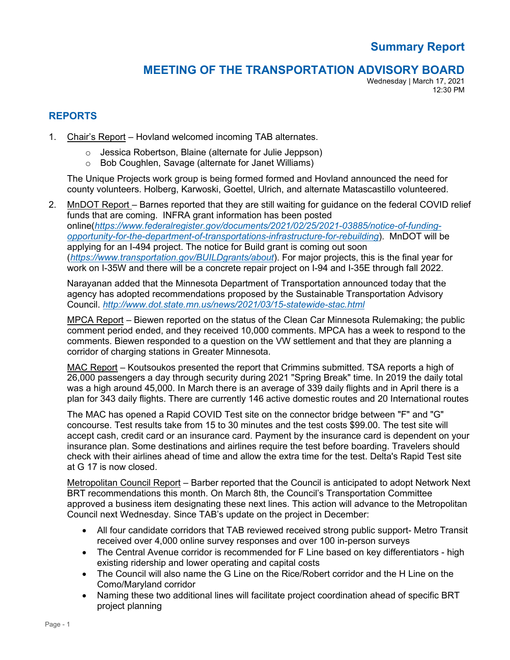## **MEETING OF THE TRANSPORTATION ADVISORY BOARD**

Wednesday | March 17, 2021 12:30 PM

## **REPORTS**

- 1. Chair's Report Hovland welcomed incoming TAB alternates.
	- o Jessica Robertson, Blaine (alternate for Julie Jeppson)
	- o Bob Coughlen, Savage (alternate for Janet Williams)

The Unique Projects work group is being formed formed and Hovland announced the need for county volunteers. Holberg, Karwoski, Goettel, Ulrich, and alternate Matascastillo volunteered.

2. MnDOT Report – Barnes reported that they are still waiting for guidance on the federal COVID relief funds that are coming. INFRA grant information has been posted online(*[https://www.federalregister.gov/documents/2021/02/25/2021-03885/notice-of-funding](https://www.federalregister.gov/documents/2021/02/25/2021-03885/notice-of-funding-opportunity-for-the-department-of-transportations-infrastructure-for-rebuilding)[opportunity-for-the-department-of-transportations-infrastructure-for-rebuilding](https://www.federalregister.gov/documents/2021/02/25/2021-03885/notice-of-funding-opportunity-for-the-department-of-transportations-infrastructure-for-rebuilding)*). MnDOT will be applying for an I-494 project. The notice for Build grant is coming out soon (*<https://www.transportation.gov/BUILDgrants/about>*). For major projects, this is the final year for work on I-35W and there will be a concrete repair project on I-94 and I-35E through fall 2022.

Narayanan added that the Minnesota Department of Transportation announced today that the agency has adopted recommendations proposed by the Sustainable Transportation Advisory Council. *<http://www.dot.state.mn.us/news/2021/03/15-statewide-stac.html>*

MPCA Report – Biewen reported on the status of the Clean Car Minnesota Rulemaking; the public comment period ended, and they received 10,000 comments. MPCA has a week to respond to the comments. Biewen responded to a question on the VW settlement and that they are planning a corridor of charging stations in Greater Minnesota.

MAC Report – Koutsoukos presented the report that Crimmins submitted. TSA reports a high of 26,000 passengers a day through security during 2021 "Spring Break" time. In 2019 the daily total was a high around 45,000. In March there is an average of 339 daily flights and in April there is a plan for 343 daily flights. There are currently 146 active domestic routes and 20 International routes

The MAC has opened a Rapid COVID Test site on the connector bridge between "F" and "G" concourse. Test results take from 15 to 30 minutes and the test costs \$99.00. The test site will accept cash, credit card or an insurance card. Payment by the insurance card is dependent on your insurance plan. Some destinations and airlines require the test before boarding. Travelers should check with their airlines ahead of time and allow the extra time for the test. Delta's Rapid Test site at G 17 is now closed.

Metropolitan Council Report – Barber reported that the Council is anticipated to adopt Network Next BRT recommendations this month. On March 8th, the Council's Transportation Committee approved a business item designating these next lines. This action will advance to the Metropolitan Council next Wednesday. Since TAB's update on the project in December:

- All four candidate corridors that TAB reviewed received strong public support- Metro Transit received over 4,000 online survey responses and over 100 in-person surveys
- The Central Avenue corridor is recommended for F Line based on key differentiators high existing ridership and lower operating and capital costs
- The Council will also name the G Line on the Rice/Robert corridor and the H Line on the Como/Maryland corridor
- Naming these two additional lines will facilitate project coordination ahead of specific BRT project planning